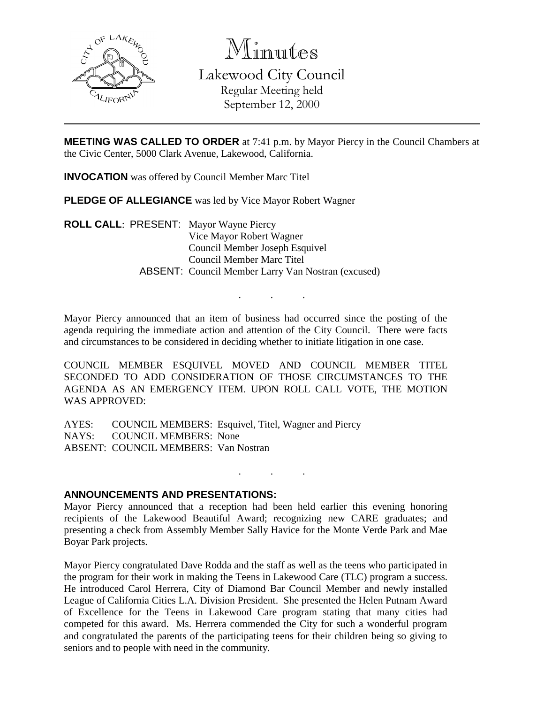

Minutes

Lakewood City Council Regular Meeting held September 12, 2000

**MEETING WAS CALLED TO ORDER** at 7:41 p.m. by Mayor Piercy in the Council Chambers at the Civic Center, 5000 Clark Avenue, Lakewood, California.

**INVOCATION** was offered by Council Member Marc Titel

**PLEDGE OF ALLEGIANCE** was led by Vice Mayor Robert Wagner

**ROLL CALL**: PRESENT: Mayor Wayne Piercy Vice Mayor Robert Wagner Council Member Joseph Esquivel Council Member Marc Titel ABSENT: Council Member Larry Van Nostran (excused)

Mayor Piercy announced that an item of business had occurred since the posting of the agenda requiring the immediate action and attention of the City Council. There were facts and circumstances to be considered in deciding whether to initiate litigation in one case.

. . .

COUNCIL MEMBER ESQUIVEL MOVED AND COUNCIL MEMBER TITEL SECONDED TO ADD CONSIDERATION OF THOSE CIRCUMSTANCES TO THE AGENDA AS AN EMERGENCY ITEM. UPON ROLL CALL VOTE, THE MOTION WAS APPROVED:

AYES: COUNCIL MEMBERS: Esquivel, Titel, Wagner and Piercy NAYS: COUNCIL MEMBERS: None ABSENT: COUNCIL MEMBERS: Van Nostran

## **ANNOUNCEMENTS AND PRESENTATIONS:**

Mayor Piercy announced that a reception had been held earlier this evening honoring recipients of the Lakewood Beautiful Award; recognizing new CARE graduates; and presenting a check from Assembly Member Sally Havice for the Monte Verde Park and Mae Boyar Park projects.

. . .

Mayor Piercy congratulated Dave Rodda and the staff as well as the teens who participated in the program for their work in making the Teens in Lakewood Care (TLC) program a success. He introduced Carol Herrera, City of Diamond Bar Council Member and newly installed League of California Cities L.A. Division President. She presented the Helen Putnam Award of Excellence for the Teens in Lakewood Care program stating that many cities had competed for this award. Ms. Herrera commended the City for such a wonderful program and congratulated the parents of the participating teens for their children being so giving to seniors and to people with need in the community.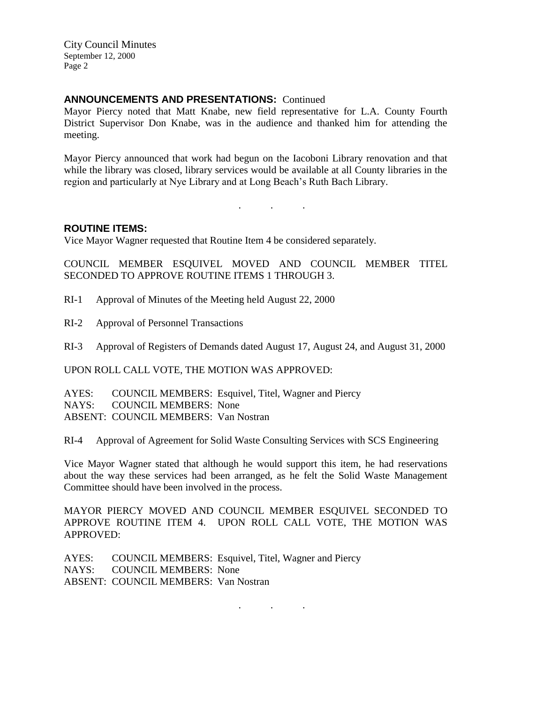## **ANNOUNCEMENTS AND PRESENTATIONS:** Continued

Mayor Piercy noted that Matt Knabe, new field representative for L.A. County Fourth District Supervisor Don Knabe, was in the audience and thanked him for attending the meeting.

Mayor Piercy announced that work had begun on the Iacoboni Library renovation and that while the library was closed, library services would be available at all County libraries in the region and particularly at Nye Library and at Long Beach's Ruth Bach Library.

. . .

#### **ROUTINE ITEMS:**

Vice Mayor Wagner requested that Routine Item 4 be considered separately.

COUNCIL MEMBER ESQUIVEL MOVED AND COUNCIL MEMBER TITEL SECONDED TO APPROVE ROUTINE ITEMS 1 THROUGH 3.

RI-1 Approval of Minutes of the Meeting held August 22, 2000

RI-2 Approval of Personnel Transactions

RI-3 Approval of Registers of Demands dated August 17, August 24, and August 31, 2000

UPON ROLL CALL VOTE, THE MOTION WAS APPROVED:

AYES: COUNCIL MEMBERS: Esquivel, Titel, Wagner and Piercy NAYS: COUNCIL MEMBERS: None ABSENT: COUNCIL MEMBERS: Van Nostran

RI-4 Approval of Agreement for Solid Waste Consulting Services with SCS Engineering

Vice Mayor Wagner stated that although he would support this item, he had reservations about the way these services had been arranged, as he felt the Solid Waste Management Committee should have been involved in the process.

MAYOR PIERCY MOVED AND COUNCIL MEMBER ESQUIVEL SECONDED TO APPROVE ROUTINE ITEM 4. UPON ROLL CALL VOTE, THE MOTION WAS APPROVED:

. . .

AYES: COUNCIL MEMBERS: Esquivel, Titel, Wagner and Piercy NAYS: COUNCIL MEMBERS: None ABSENT: COUNCIL MEMBERS: Van Nostran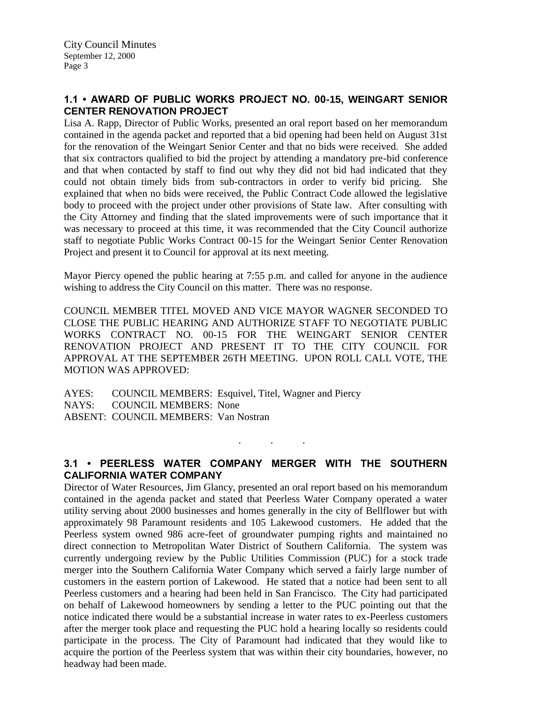## **1.1 • AWARD OF PUBLIC WORKS PROJECT NO. 00-15, WEINGART SENIOR CENTER RENOVATION PROJECT**

Lisa A. Rapp, Director of Public Works, presented an oral report based on her memorandum contained in the agenda packet and reported that a bid opening had been held on August 31st for the renovation of the Weingart Senior Center and that no bids were received. She added that six contractors qualified to bid the project by attending a mandatory pre-bid conference and that when contacted by staff to find out why they did not bid had indicated that they could not obtain timely bids from sub-contractors in order to verify bid pricing. She explained that when no bids were received, the Public Contract Code allowed the legislative body to proceed with the project under other provisions of State law. After consulting with the City Attorney and finding that the slated improvements were of such importance that it was necessary to proceed at this time, it was recommended that the City Council authorize staff to negotiate Public Works Contract 00-15 for the Weingart Senior Center Renovation Project and present it to Council for approval at its next meeting.

Mayor Piercy opened the public hearing at 7:55 p.m. and called for anyone in the audience wishing to address the City Council on this matter. There was no response.

COUNCIL MEMBER TITEL MOVED AND VICE MAYOR WAGNER SECONDED TO CLOSE THE PUBLIC HEARING AND AUTHORIZE STAFF TO NEGOTIATE PUBLIC WORKS CONTRACT NO. 00-15 FOR THE WEINGART SENIOR CENTER RENOVATION PROJECT AND PRESENT IT TO THE CITY COUNCIL FOR APPROVAL AT THE SEPTEMBER 26TH MEETING. UPON ROLL CALL VOTE, THE MOTION WAS APPROVED:

AYES: COUNCIL MEMBERS: Esquivel, Titel, Wagner and Piercy NAYS: COUNCIL MEMBERS: None ABSENT: COUNCIL MEMBERS: Van Nostran

# **3.1 • PEERLESS WATER COMPANY MERGER WITH THE SOUTHERN CALIFORNIA WATER COMPANY**

. . .

Director of Water Resources, Jim Glancy, presented an oral report based on his memorandum contained in the agenda packet and stated that Peerless Water Company operated a water utility serving about 2000 businesses and homes generally in the city of Bellflower but with approximately 98 Paramount residents and 105 Lakewood customers. He added that the Peerless system owned 986 acre-feet of groundwater pumping rights and maintained no direct connection to Metropolitan Water District of Southern California. The system was currently undergoing review by the Public Utilities Commission (PUC) for a stock trade merger into the Southern California Water Company which served a fairly large number of customers in the eastern portion of Lakewood. He stated that a notice had been sent to all Peerless customers and a hearing had been held in San Francisco. The City had participated on behalf of Lakewood homeowners by sending a letter to the PUC pointing out that the notice indicated there would be a substantial increase in water rates to ex-Peerless customers after the merger took place and requesting the PUC hold a hearing locally so residents could participate in the process. The City of Paramount had indicated that they would like to acquire the portion of the Peerless system that was within their city boundaries, however, no headway had been made.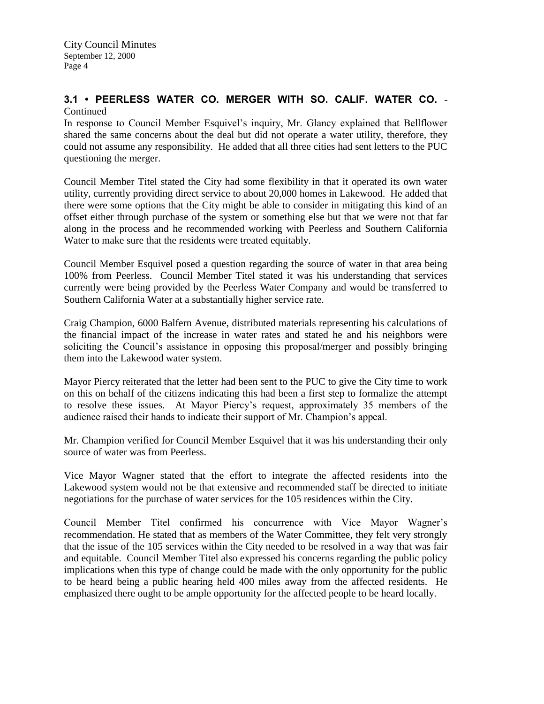# **3.1 • PEERLESS WATER CO. MERGER WITH SO. CALIF. WATER CO.** - **Continued**

In response to Council Member Esquivel's inquiry, Mr. Glancy explained that Bellflower shared the same concerns about the deal but did not operate a water utility, therefore, they could not assume any responsibility. He added that all three cities had sent letters to the PUC questioning the merger.

Council Member Titel stated the City had some flexibility in that it operated its own water utility, currently providing direct service to about 20,000 homes in Lakewood. He added that there were some options that the City might be able to consider in mitigating this kind of an offset either through purchase of the system or something else but that we were not that far along in the process and he recommended working with Peerless and Southern California Water to make sure that the residents were treated equitably.

Council Member Esquivel posed a question regarding the source of water in that area being 100% from Peerless. Council Member Titel stated it was his understanding that services currently were being provided by the Peerless Water Company and would be transferred to Southern California Water at a substantially higher service rate.

Craig Champion, 6000 Balfern Avenue, distributed materials representing his calculations of the financial impact of the increase in water rates and stated he and his neighbors were soliciting the Council's assistance in opposing this proposal/merger and possibly bringing them into the Lakewood water system.

Mayor Piercy reiterated that the letter had been sent to the PUC to give the City time to work on this on behalf of the citizens indicating this had been a first step to formalize the attempt to resolve these issues. At Mayor Piercy's request, approximately 35 members of the audience raised their hands to indicate their support of Mr. Champion's appeal.

Mr. Champion verified for Council Member Esquivel that it was his understanding their only source of water was from Peerless.

Vice Mayor Wagner stated that the effort to integrate the affected residents into the Lakewood system would not be that extensive and recommended staff be directed to initiate negotiations for the purchase of water services for the 105 residences within the City.

Council Member Titel confirmed his concurrence with Vice Mayor Wagner's recommendation. He stated that as members of the Water Committee, they felt very strongly that the issue of the 105 services within the City needed to be resolved in a way that was fair and equitable. Council Member Titel also expressed his concerns regarding the public policy implications when this type of change could be made with the only opportunity for the public to be heard being a public hearing held 400 miles away from the affected residents. He emphasized there ought to be ample opportunity for the affected people to be heard locally.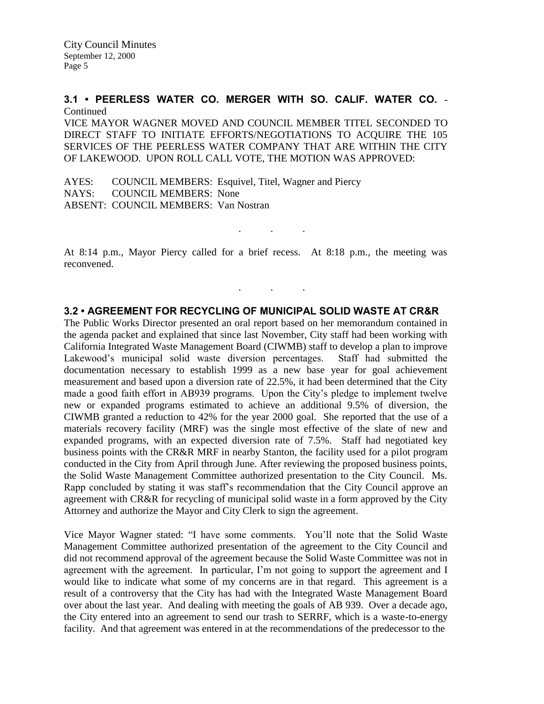# **3.1 • PEERLESS WATER CO. MERGER WITH SO. CALIF. WATER CO.** - **Continued**

VICE MAYOR WAGNER MOVED AND COUNCIL MEMBER TITEL SECONDED TO DIRECT STAFF TO INITIATE EFFORTS/NEGOTIATIONS TO ACQUIRE THE 105 SERVICES OF THE PEERLESS WATER COMPANY THAT ARE WITHIN THE CITY OF LAKEWOOD. UPON ROLL CALL VOTE, THE MOTION WAS APPROVED:

AYES: COUNCIL MEMBERS: Esquivel, Titel, Wagner and Piercy NAYS: COUNCIL MEMBERS: None ABSENT: COUNCIL MEMBERS: Van Nostran

At 8:14 p.m., Mayor Piercy called for a brief recess. At 8:18 p.m., the meeting was reconvened.

. . .

. . .

## **3.2 • AGREEMENT FOR RECYCLING OF MUNICIPAL SOLID WASTE AT CR&R**

The Public Works Director presented an oral report based on her memorandum contained in the agenda packet and explained that since last November, City staff had been working with California Integrated Waste Management Board (CIWMB) staff to develop a plan to improve Lakewood's municipal solid waste diversion percentages. Staff had submitted the documentation necessary to establish 1999 as a new base year for goal achievement measurement and based upon a diversion rate of 22.5%, it had been determined that the City made a good faith effort in AB939 programs. Upon the City's pledge to implement twelve new or expanded programs estimated to achieve an additional 9.5% of diversion, the CIWMB granted a reduction to 42% for the year 2000 goal. She reported that the use of a materials recovery facility (MRF) was the single most effective of the slate of new and expanded programs, with an expected diversion rate of 7.5%. Staff had negotiated key business points with the CR&R MRF in nearby Stanton, the facility used for a pilot program conducted in the City from April through June. After reviewing the proposed business points, the Solid Waste Management Committee authorized presentation to the City Council. Ms. Rapp concluded by stating it was staff's recommendation that the City Council approve an agreement with CR&R for recycling of municipal solid waste in a form approved by the City Attorney and authorize the Mayor and City Clerk to sign the agreement.

Vice Mayor Wagner stated: "I have some comments. You'll note that the Solid Waste Management Committee authorized presentation of the agreement to the City Council and did not recommend approval of the agreement because the Solid Waste Committee was not in agreement with the agreement. In particular, I'm not going to support the agreement and I would like to indicate what some of my concerns are in that regard. This agreement is a result of a controversy that the City has had with the Integrated Waste Management Board over about the last year. And dealing with meeting the goals of AB 939. Over a decade ago, the City entered into an agreement to send our trash to SERRF, which is a waste-to-energy facility. And that agreement was entered in at the recommendations of the predecessor to the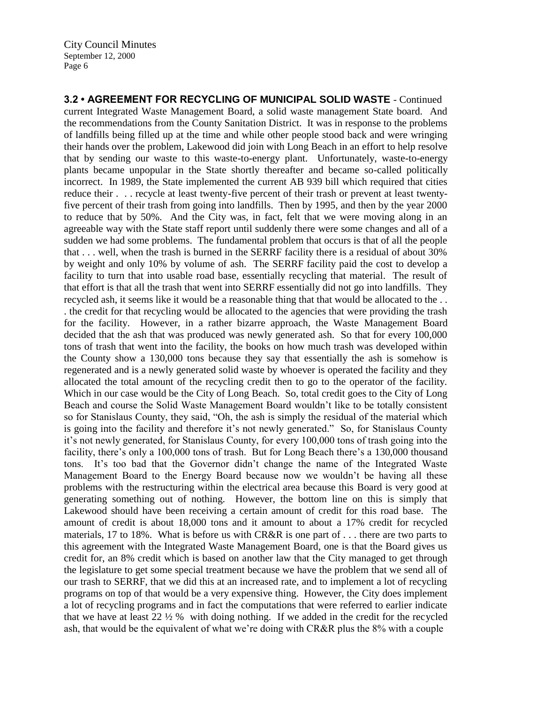**3.2 • AGREEMENT FOR RECYCLING OF MUNICIPAL SOLID WASTE** - Continued current Integrated Waste Management Board, a solid waste management State board. And the recommendations from the County Sanitation District. It was in response to the problems of landfills being filled up at the time and while other people stood back and were wringing their hands over the problem, Lakewood did join with Long Beach in an effort to help resolve that by sending our waste to this waste-to-energy plant. Unfortunately, waste-to-energy plants became unpopular in the State shortly thereafter and became so-called politically incorrect. In 1989, the State implemented the current AB 939 bill which required that cities reduce their . . . recycle at least twenty-five percent of their trash or prevent at least twentyfive percent of their trash from going into landfills. Then by 1995, and then by the year 2000 to reduce that by 50%. And the City was, in fact, felt that we were moving along in an agreeable way with the State staff report until suddenly there were some changes and all of a sudden we had some problems. The fundamental problem that occurs is that of all the people that . . . well, when the trash is burned in the SERRF facility there is a residual of about 30% by weight and only 10% by volume of ash. The SERRF facility paid the cost to develop a facility to turn that into usable road base, essentially recycling that material. The result of that effort is that all the trash that went into SERRF essentially did not go into landfills. They recycled ash, it seems like it would be a reasonable thing that that would be allocated to the . . . the credit for that recycling would be allocated to the agencies that were providing the trash for the facility. However, in a rather bizarre approach, the Waste Management Board decided that the ash that was produced was newly generated ash. So that for every 100,000 tons of trash that went into the facility, the books on how much trash was developed within the County show a 130,000 tons because they say that essentially the ash is somehow is regenerated and is a newly generated solid waste by whoever is operated the facility and they allocated the total amount of the recycling credit then to go to the operator of the facility. Which in our case would be the City of Long Beach. So, total credit goes to the City of Long Beach and course the Solid Waste Management Board wouldn't like to be totally consistent so for Stanislaus County, they said, "Oh, the ash is simply the residual of the material which is going into the facility and therefore it's not newly generated." So, for Stanislaus County it's not newly generated, for Stanislaus County, for every 100,000 tons of trash going into the facility, there's only a 100,000 tons of trash. But for Long Beach there's a 130,000 thousand tons. It's too bad that the Governor didn't change the name of the Integrated Waste Management Board to the Energy Board because now we wouldn't be having all these problems with the restructuring within the electrical area because this Board is very good at generating something out of nothing. However, the bottom line on this is simply that Lakewood should have been receiving a certain amount of credit for this road base. The amount of credit is about 18,000 tons and it amount to about a 17% credit for recycled materials, 17 to 18%. What is before us with CR&R is one part of . . . there are two parts to this agreement with the Integrated Waste Management Board, one is that the Board gives us credit for, an 8% credit which is based on another law that the City managed to get through the legislature to get some special treatment because we have the problem that we send all of our trash to SERRF, that we did this at an increased rate, and to implement a lot of recycling programs on top of that would be a very expensive thing. However, the City does implement a lot of recycling programs and in fact the computations that were referred to earlier indicate that we have at least 22 ½ % with doing nothing. If we added in the credit for the recycled ash, that would be the equivalent of what we're doing with CR&R plus the 8% with a couple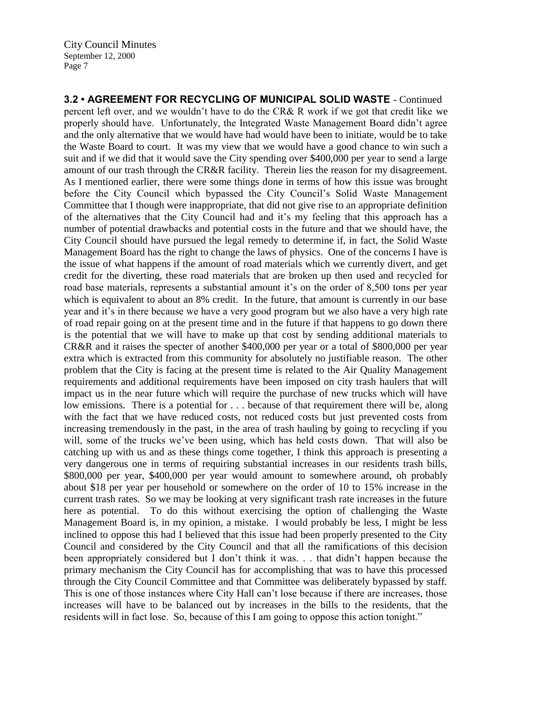**3.2 • AGREEMENT FOR RECYCLING OF MUNICIPAL SOLID WASTE** - Continued percent left over, and we wouldn't have to do the CR& R work if we got that credit like we properly should have. Unfortunately, the Integrated Waste Management Board didn't agree and the only alternative that we would have had would have been to initiate, would be to take the Waste Board to court. It was my view that we would have a good chance to win such a suit and if we did that it would save the City spending over \$400,000 per year to send a large amount of our trash through the CR&R facility. Therein lies the reason for my disagreement. As I mentioned earlier, there were some things done in terms of how this issue was brought before the City Council which bypassed the City Council's Solid Waste Management Committee that I though were inappropriate, that did not give rise to an appropriate definition of the alternatives that the City Council had and it's my feeling that this approach has a number of potential drawbacks and potential costs in the future and that we should have, the City Council should have pursued the legal remedy to determine if, in fact, the Solid Waste Management Board has the right to change the laws of physics. One of the concerns I have is the issue of what happens if the amount of road materials which we currently divert, and get credit for the diverting, these road materials that are broken up then used and recycled for road base materials, represents a substantial amount it's on the order of 8,500 tons per year which is equivalent to about an 8% credit. In the future, that amount is currently in our base year and it's in there because we have a very good program but we also have a very high rate of road repair going on at the present time and in the future if that happens to go down there is the potential that we will have to make up that cost by sending additional materials to CR&R and it raises the specter of another \$400,000 per year or a total of \$800,000 per year extra which is extracted from this community for absolutely no justifiable reason. The other problem that the City is facing at the present time is related to the Air Quality Management requirements and additional requirements have been imposed on city trash haulers that will impact us in the near future which will require the purchase of new trucks which will have low emissions. There is a potential for . . . because of that requirement there will be, along with the fact that we have reduced costs, not reduced costs but just prevented costs from increasing tremendously in the past, in the area of trash hauling by going to recycling if you will, some of the trucks we've been using, which has held costs down. That will also be catching up with us and as these things come together, I think this approach is presenting a very dangerous one in terms of requiring substantial increases in our residents trash bills, \$800,000 per year, \$400,000 per year would amount to somewhere around, oh probably about \$18 per year per household or somewhere on the order of 10 to 15% increase in the current trash rates. So we may be looking at very significant trash rate increases in the future here as potential. To do this without exercising the option of challenging the Waste Management Board is, in my opinion, a mistake. I would probably be less, I might be less inclined to oppose this had I believed that this issue had been properly presented to the City Council and considered by the City Council and that all the ramifications of this decision been appropriately considered but I don't think it was. . . that didn't happen because the primary mechanism the City Council has for accomplishing that was to have this processed through the City Council Committee and that Committee was deliberately bypassed by staff. This is one of those instances where City Hall can't lose because if there are increases, those increases will have to be balanced out by increases in the bills to the residents, that the residents will in fact lose. So, because of this I am going to oppose this action tonight."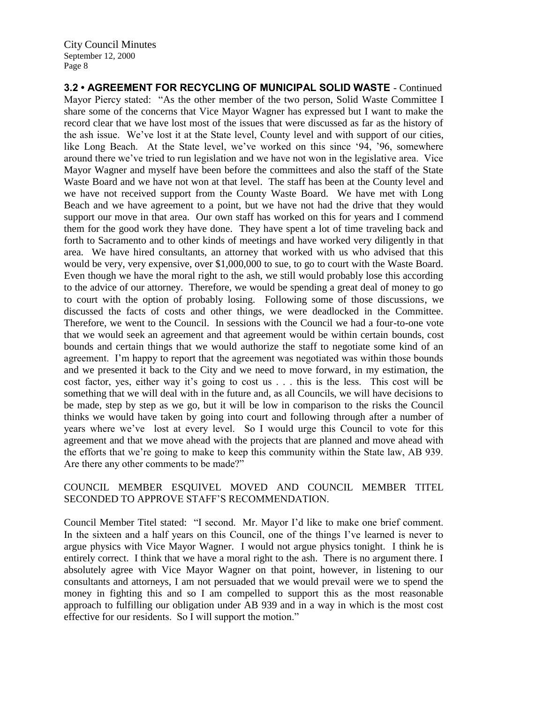**3.2 • AGREEMENT FOR RECYCLING OF MUNICIPAL SOLID WASTE** - Continued Mayor Piercy stated: "As the other member of the two person, Solid Waste Committee I share some of the concerns that Vice Mayor Wagner has expressed but I want to make the record clear that we have lost most of the issues that were discussed as far as the history of the ash issue. We've lost it at the State level, County level and with support of our cities, like Long Beach. At the State level, we've worked on this since '94, '96, somewhere around there we've tried to run legislation and we have not won in the legislative area. Vice Mayor Wagner and myself have been before the committees and also the staff of the State Waste Board and we have not won at that level. The staff has been at the County level and we have not received support from the County Waste Board. We have met with Long Beach and we have agreement to a point, but we have not had the drive that they would support our move in that area. Our own staff has worked on this for years and I commend them for the good work they have done. They have spent a lot of time traveling back and forth to Sacramento and to other kinds of meetings and have worked very diligently in that area. We have hired consultants, an attorney that worked with us who advised that this would be very, very expensive, over \$1,000,000 to sue, to go to court with the Waste Board. Even though we have the moral right to the ash, we still would probably lose this according to the advice of our attorney. Therefore, we would be spending a great deal of money to go to court with the option of probably losing. Following some of those discussions, we discussed the facts of costs and other things, we were deadlocked in the Committee. Therefore, we went to the Council. In sessions with the Council we had a four-to-one vote that we would seek an agreement and that agreement would be within certain bounds, cost bounds and certain things that we would authorize the staff to negotiate some kind of an agreement. I'm happy to report that the agreement was negotiated was within those bounds and we presented it back to the City and we need to move forward, in my estimation, the cost factor, yes, either way it's going to cost us . . . this is the less. This cost will be something that we will deal with in the future and, as all Councils, we will have decisions to be made, step by step as we go, but it will be low in comparison to the risks the Council thinks we would have taken by going into court and following through after a number of years where we've lost at every level. So I would urge this Council to vote for this agreement and that we move ahead with the projects that are planned and move ahead with the efforts that we're going to make to keep this community within the State law, AB 939. Are there any other comments to be made?"

## COUNCIL MEMBER ESQUIVEL MOVED AND COUNCIL MEMBER TITEL SECONDED TO APPROVE STAFF'S RECOMMENDATION.

Council Member Titel stated: "I second. Mr. Mayor I'd like to make one brief comment. In the sixteen and a half years on this Council, one of the things I've learned is never to argue physics with Vice Mayor Wagner. I would not argue physics tonight. I think he is entirely correct. I think that we have a moral right to the ash. There is no argument there. I absolutely agree with Vice Mayor Wagner on that point, however, in listening to our consultants and attorneys, I am not persuaded that we would prevail were we to spend the money in fighting this and so I am compelled to support this as the most reasonable approach to fulfilling our obligation under AB 939 and in a way in which is the most cost effective for our residents. So I will support the motion."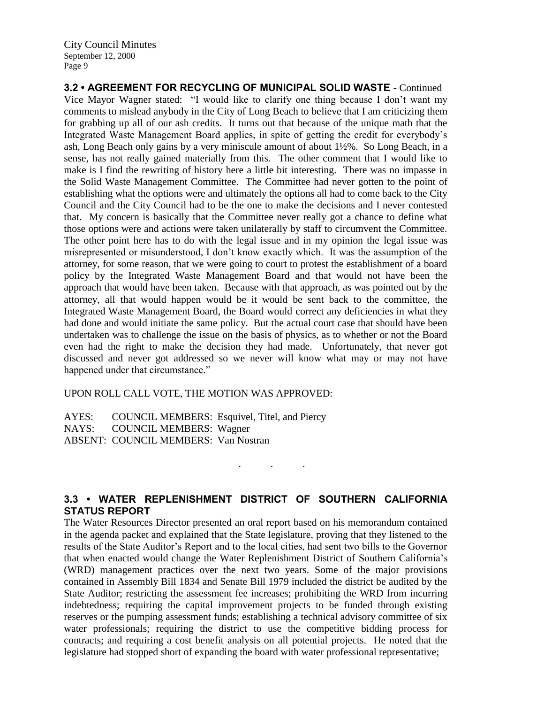**3.2 • AGREEMENT FOR RECYCLING OF MUNICIPAL SOLID WASTE** - Continued Vice Mayor Wagner stated: "I would like to clarify one thing because I don't want my comments to mislead anybody in the City of Long Beach to believe that I am criticizing them for grabbing up all of our ash credits. It turns out that because of the unique math that the Integrated Waste Management Board applies, in spite of getting the credit for everybody's ash, Long Beach only gains by a very miniscule amount of about 1½%. So Long Beach, in a sense, has not really gained materially from this. The other comment that I would like to make is I find the rewriting of history here a little bit interesting. There was no impasse in the Solid Waste Management Committee. The Committee had never gotten to the point of establishing what the options were and ultimately the options all had to come back to the City Council and the City Council had to be the one to make the decisions and I never contested that. My concern is basically that the Committee never really got a chance to define what those options were and actions were taken unilaterally by staff to circumvent the Committee. The other point here has to do with the legal issue and in my opinion the legal issue was misrepresented or misunderstood, I don't know exactly which. It was the assumption of the attorney, for some reason, that we were going to court to protest the establishment of a board policy by the Integrated Waste Management Board and that would not have been the approach that would have been taken. Because with that approach, as was pointed out by the attorney, all that would happen would be it would be sent back to the committee, the Integrated Waste Management Board, the Board would correct any deficiencies in what they had done and would initiate the same policy. But the actual court case that should have been undertaken was to challenge the issue on the basis of physics, as to whether or not the Board even had the right to make the decision they had made. Unfortunately, that never got discussed and never got addressed so we never will know what may or may not have happened under that circumstance."

UPON ROLL CALL VOTE, THE MOTION WAS APPROVED:

AYES: COUNCIL MEMBERS: Esquivel, Titel, and Piercy NAYS: COUNCIL MEMBERS: Wagner ABSENT: COUNCIL MEMBERS: Van Nostran

# **3.3 • WATER REPLENISHMENT DISTRICT OF SOUTHERN CALIFORNIA STATUS REPORT**

. . .

The Water Resources Director presented an oral report based on his memorandum contained in the agenda packet and explained that the State legislature, proving that they listened to the results of the State Auditor's Report and to the local cities, had sent two bills to the Governor that when enacted would change the Water Replenishment District of Southern California's (WRD) management practices over the next two years. Some of the major provisions contained in Assembly Bill 1834 and Senate Bill 1979 included the district be audited by the State Auditor; restricting the assessment fee increases; prohibiting the WRD from incurring indebtedness; requiring the capital improvement projects to be funded through existing reserves or the pumping assessment funds; establishing a technical advisory committee of six water professionals; requiring the district to use the competitive bidding process for contracts; and requiring a cost benefit analysis on all potential projects. He noted that the legislature had stopped short of expanding the board with water professional representative;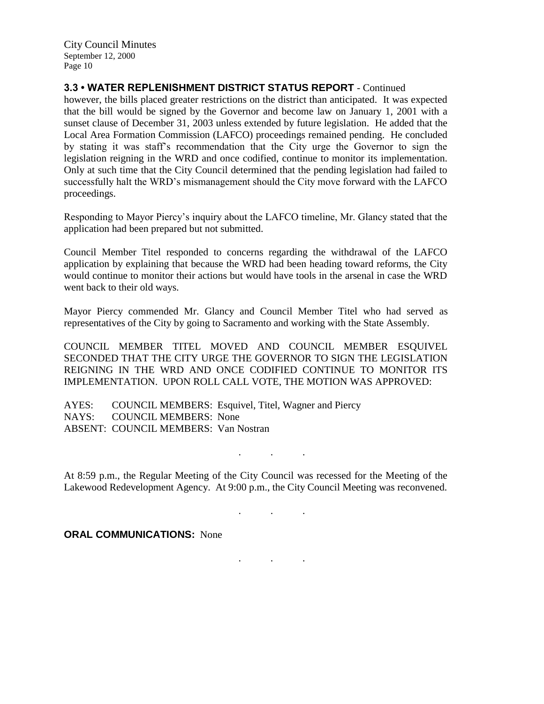## **3.3 • WATER REPLENISHMENT DISTRICT STATUS REPORT** - Continued

however, the bills placed greater restrictions on the district than anticipated. It was expected that the bill would be signed by the Governor and become law on January 1, 2001 with a sunset clause of December 31, 2003 unless extended by future legislation. He added that the Local Area Formation Commission (LAFCO) proceedings remained pending. He concluded by stating it was staff's recommendation that the City urge the Governor to sign the legislation reigning in the WRD and once codified, continue to monitor its implementation. Only at such time that the City Council determined that the pending legislation had failed to successfully halt the WRD's mismanagement should the City move forward with the LAFCO proceedings.

Responding to Mayor Piercy's inquiry about the LAFCO timeline, Mr. Glancy stated that the application had been prepared but not submitted.

Council Member Titel responded to concerns regarding the withdrawal of the LAFCO application by explaining that because the WRD had been heading toward reforms, the City would continue to monitor their actions but would have tools in the arsenal in case the WRD went back to their old ways.

Mayor Piercy commended Mr. Glancy and Council Member Titel who had served as representatives of the City by going to Sacramento and working with the State Assembly.

COUNCIL MEMBER TITEL MOVED AND COUNCIL MEMBER ESQUIVEL SECONDED THAT THE CITY URGE THE GOVERNOR TO SIGN THE LEGISLATION REIGNING IN THE WRD AND ONCE CODIFIED CONTINUE TO MONITOR ITS IMPLEMENTATION. UPON ROLL CALL VOTE, THE MOTION WAS APPROVED:

AYES: COUNCIL MEMBERS: Esquivel, Titel, Wagner and Piercy NAYS: COUNCIL MEMBERS: None ABSENT: COUNCIL MEMBERS: Van Nostran

At 8:59 p.m., the Regular Meeting of the City Council was recessed for the Meeting of the Lakewood Redevelopment Agency. At 9:00 p.m., the City Council Meeting was reconvened.

. . .

. . .

. . .

**ORAL COMMUNICATIONS:** None